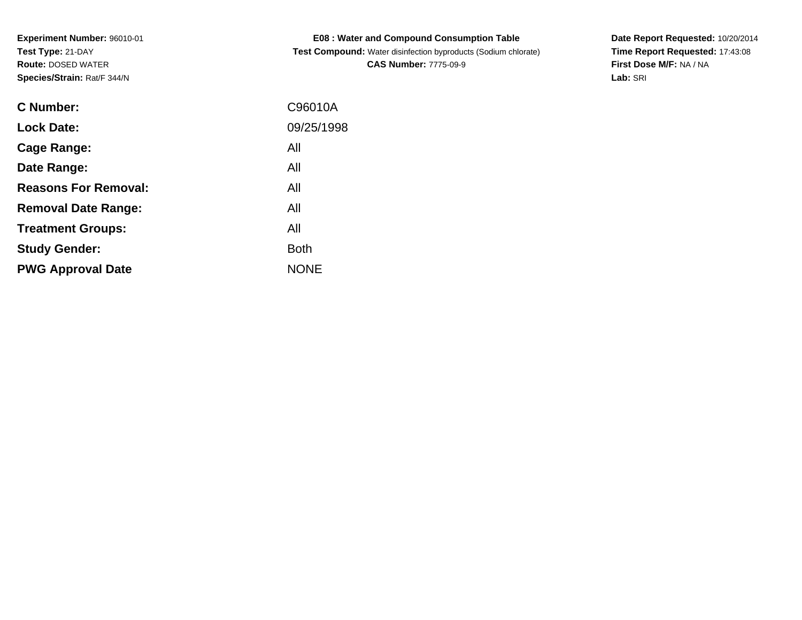| <b>C Number:</b>            | C96010A     |
|-----------------------------|-------------|
| <b>Lock Date:</b>           | 09/25/1998  |
| <b>Cage Range:</b>          | All         |
| Date Range:                 | All         |
| <b>Reasons For Removal:</b> | All         |
| <b>Removal Date Range:</b>  | All         |
| <b>Treatment Groups:</b>    | All         |
| <b>Study Gender:</b>        | <b>Both</b> |
| <b>PWG Approval Date</b>    | <b>NONE</b> |
|                             |             |

**E08 : Water and Compound Consumption Table Test Compound:** Water disinfection byproducts (Sodium chlorate)**CAS Number:** 7775-09-9

**Date Report Requested:** 10/20/2014 **Time Report Requested:** 17:43:08**First Dose M/F:** NA / NA**Lab:** SRI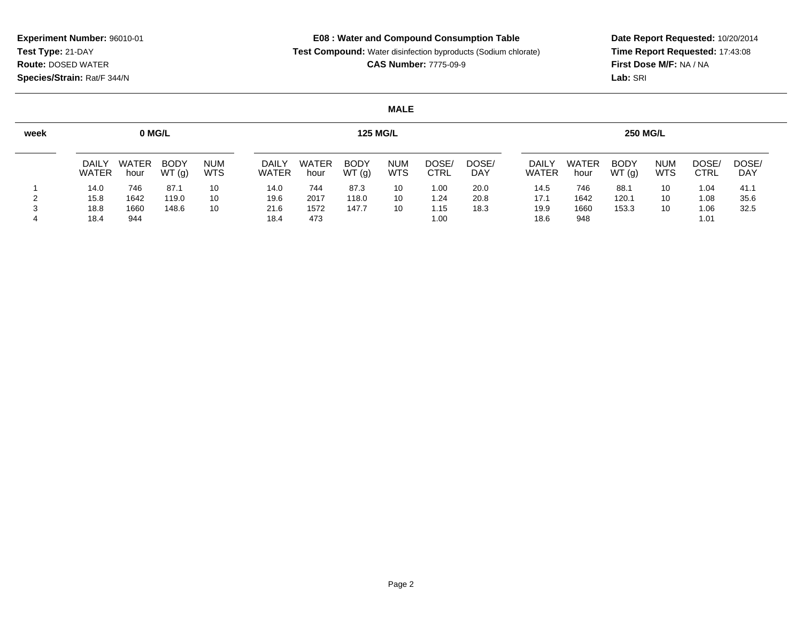**E08 : Water and Compound Consumption Table**

**Test Compound:** Water disinfection byproducts (Sodium chlorate)

**CAS Number:** 7775-09-9

**Date Report Requested:** 10/20/2014 **Time Report Requested:** 17:43:08**First Dose M/F:** NA / NA**Lab:** SRI

## **MALE**

| week | 0 MG/L                       |                      |                      |                          |                              | <b>125 MG/L</b>      |                      |                          |                      |              |                              |                      | <b>250 MG/L</b>      |                          |               |                     |  |  |
|------|------------------------------|----------------------|----------------------|--------------------------|------------------------------|----------------------|----------------------|--------------------------|----------------------|--------------|------------------------------|----------------------|----------------------|--------------------------|---------------|---------------------|--|--|
|      | <b>DAILY</b><br><b>WATER</b> | <b>WATER</b><br>hour | <b>BODY</b><br>WT(g) | <b>NUM</b><br><b>WTS</b> | <b>DAILY</b><br><b>WATER</b> | <b>WATER</b><br>hour | <b>BODY</b><br>WT(g) | <b>NUM</b><br><b>WTS</b> | DOSE/<br><b>CTRL</b> | DOSE/<br>DAY | <b>DAILY</b><br><b>WATER</b> | <b>WATER</b><br>hour | <b>BODY</b><br>WT(g) | <b>NUM</b><br><b>WTS</b> | DOSE.<br>CTRL | DOSE/<br><b>DAY</b> |  |  |
|      | 14.0                         | 746                  | 87.1                 | 10                       | 14.0                         | 744                  | 87.3                 | 10                       | 1.00                 | 20.0         | 14.5                         | 746                  | 88.1                 | 10                       | 1.04          | 41.1                |  |  |
|      | 15.8                         | 1642                 | 119.0                | 10                       | 19.6                         | 2017                 | 118.0                | 10                       | 1.24                 | 20.8         | 17.1                         | 1642                 | 120.1                | 10                       | 1.08          | 35.6                |  |  |
|      | 18.8                         | 1660                 | 148.6                | 10                       | 21.6                         | 1572                 | 147.7                | 10                       | 1.15                 | 18.3         | 19.9                         | 1660                 | 153.3                | 10                       | 1.06          | 32.5                |  |  |
|      | 18.4                         | 944                  |                      |                          | 18.4                         | 473                  |                      |                          | 1.00                 |              | 18.6                         | 948                  |                      |                          | 1.01          |                     |  |  |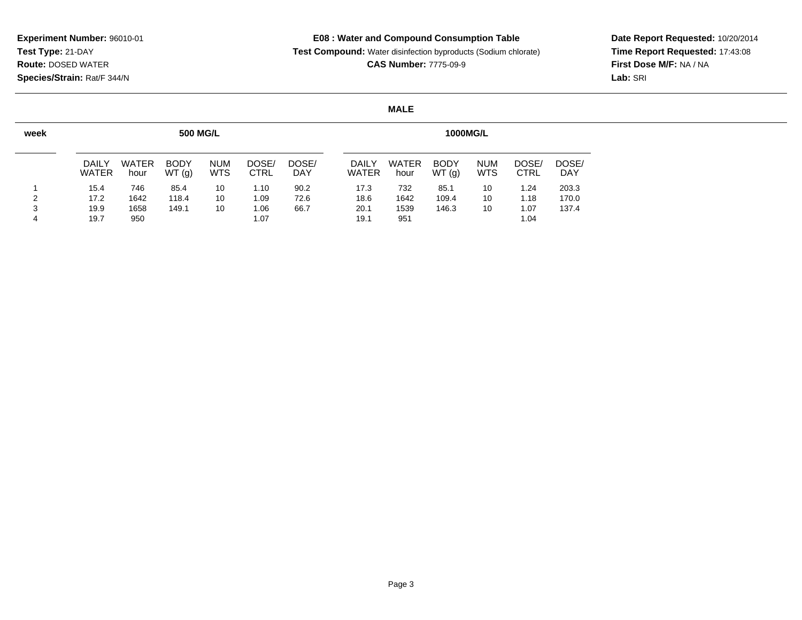## **E08 : Water and Compound Consumption Table**

**Test Compound:** Water disinfection byproducts (Sodium chlorate)

**CAS Number:** 7775-09-9

**Date Report Requested:** 10/20/2014 **Time Report Requested:** 17:43:08**First Dose M/F:** NA / NA**Lab:** SRI

#### **MALE**

| week |                              |                      | <b>500 MG/L</b>      |                          | <b>1000MG/L</b>      |                     |  |                              |                      |                      |                          |                      |                     |
|------|------------------------------|----------------------|----------------------|--------------------------|----------------------|---------------------|--|------------------------------|----------------------|----------------------|--------------------------|----------------------|---------------------|
|      | <b>DAILY</b><br><b>WATER</b> | <b>WATER</b><br>hour | <b>BODY</b><br>WT(g) | <b>NUM</b><br><b>WTS</b> | DOSE/<br><b>CTRL</b> | DOSE/<br><b>DAY</b> |  | <b>DAILY</b><br><b>WATER</b> | <b>WATER</b><br>hour | <b>BODY</b><br>WT(g) | <b>NUM</b><br><b>WTS</b> | DOSE/<br><b>CTRL</b> | DOSE/<br><b>DAY</b> |
|      | 15.4                         | 746                  | 85.4                 | 10                       | 1.10                 | 90.2                |  | 17.3                         | 732                  | 85.1                 | 10                       | 1.24                 | 203.3               |
| 2    | 17.2                         | 1642                 | 118.4                | 10                       | 1.09                 | 72.6                |  | 18.6                         | 1642                 | 109.4                | 10                       | 1.18                 | 170.0               |
| 3    | 19.9                         | 1658                 | 149.1                | 10                       | 1.06                 | 66.7                |  | 20.1                         | 1539                 | 146.3                | 10                       | 1.07                 | 137.4               |
| 4    | 19.7                         | 950                  |                      |                          | 1.07                 |                     |  | 19.1                         | 951                  |                      |                          | 1.04                 |                     |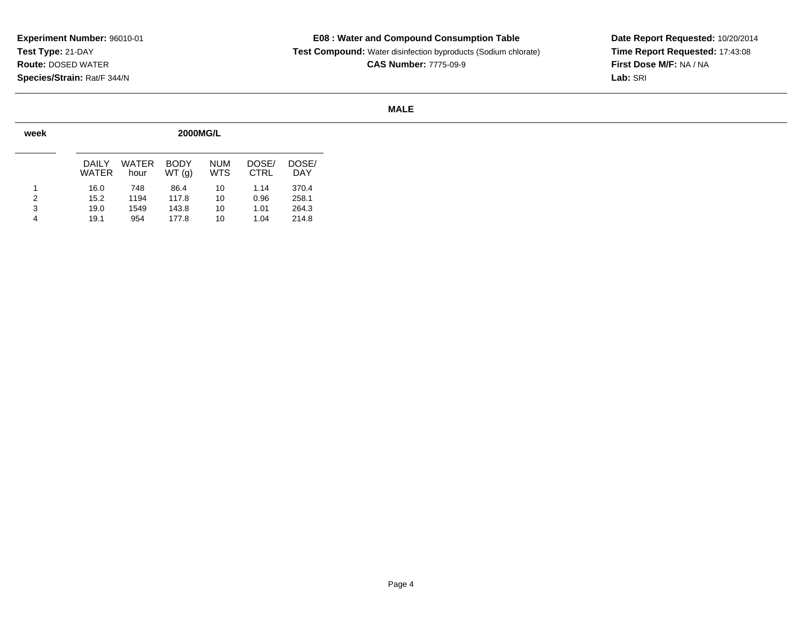## **E08 : Water and Compound Consumption Table**

 **Test Compound:** Water disinfection byproducts (Sodium chlorate)**CAS Number:** 7775-09-9

**Date Report Requested:** 10/20/2014 **Time Report Requested:** 17:43:08**First Dose M/F:** NA / NA**Lab:** SRI

## **MALE**

| week | <b>2000MG/L</b> |               |                      |                   |                      |              |  |  |  |  |  |  |  |  |
|------|-----------------|---------------|----------------------|-------------------|----------------------|--------------|--|--|--|--|--|--|--|--|
|      | DAIL Y<br>WATER | WATER<br>hour | <b>BODY</b><br>WT(g) | <b>NUM</b><br>WTS | DOSE/<br><b>CTRL</b> | DOSE/<br>DAY |  |  |  |  |  |  |  |  |
| 1    | 16.0            | 748           | 86.4                 | 10                | 1.14                 | 370.4        |  |  |  |  |  |  |  |  |
| 2    | 15.2            | 1194          | 117.8                | 10                | 0.96                 | 258.1        |  |  |  |  |  |  |  |  |
| 3    | 19.0            | 1549          | 143.8                | 10                | 1.01                 | 264.3        |  |  |  |  |  |  |  |  |
| 4    | 19.1            | 954           | 177.8                | 10                | 1.04                 | 214.8        |  |  |  |  |  |  |  |  |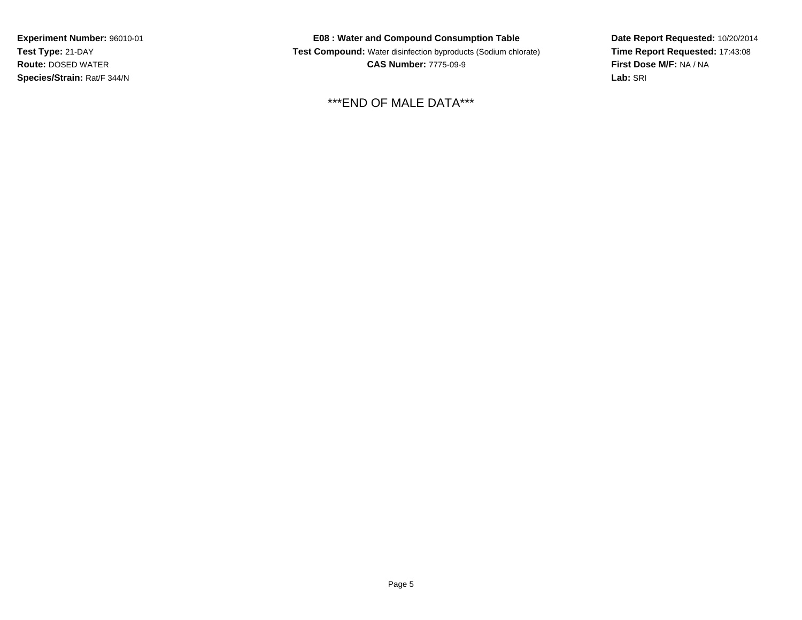**E08 : Water and Compound Consumption Table Test Compound:** Water disinfection byproducts (Sodium chlorate)**CAS Number:** 7775-09-9

\*\*\*END OF MALE DATA\*\*\*

**Date Report Requested:** 10/20/2014**Time Report Requested:** 17:43:08**First Dose M/F:** NA / NA**Lab:** SRI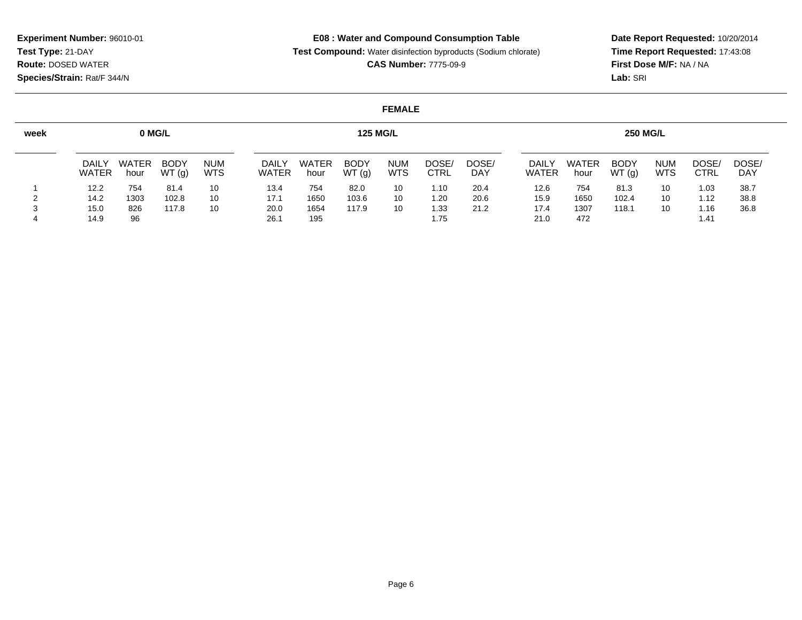**E08 : Water and Compound Consumption Table**

**Test Compound:** Water disinfection byproducts (Sodium chlorate)

**CAS Number:** 7775-09-9

**Date Report Requested:** 10/20/2014 **Time Report Requested:** 17:43:08**First Dose M/F:** NA / NA**Lab:** SRI

#### **FEMALE**

| week | 0 MG/L                       |                      |                      |                          |                              | <b>125 MG/L</b>      |                      |                          |                      |                     |                              |                      | <b>250 MG/L</b>      |                          |                     |                     |  |  |  |
|------|------------------------------|----------------------|----------------------|--------------------------|------------------------------|----------------------|----------------------|--------------------------|----------------------|---------------------|------------------------------|----------------------|----------------------|--------------------------|---------------------|---------------------|--|--|--|
|      | <b>DAILY</b><br><b>WATER</b> | <b>WATER</b><br>hour | <b>BODY</b><br>WT(g) | <b>NUM</b><br><b>WTS</b> | <b>DAILY</b><br><b>WATER</b> | <b>WATER</b><br>hour | <b>BODY</b><br>WT(g) | <b>NUM</b><br><b>WTS</b> | DOSE/<br><b>CTRL</b> | DOSE/<br><b>DAY</b> | <b>DAILY</b><br><b>WATER</b> | <b>WATER</b><br>hour | <b>BODY</b><br>WT(g) | <b>NUM</b><br><b>WTS</b> | <b>DOSE</b><br>CTRL | DOSE/<br><b>DAY</b> |  |  |  |
|      | 12.2                         | 754                  | 81.4                 | 10                       | 13.4                         | 754                  | 82.0                 | 10                       | 1.10                 | 20.4                | 12.6                         | 754                  | 81.3                 | 10                       | 1.03                | 38.7                |  |  |  |
|      | 14.2                         | 1303                 | 102.8                | 10                       | 17.1                         | 1650                 | 103.6                | 10                       | 1.20                 | 20.6                | 15.9                         | 1650                 | 102.4                | 10                       | 1.12                | 38.8                |  |  |  |
|      | 15.0                         | 826                  | 117.8                | 10                       | 20.0                         | 1654                 | 117.9                | 10                       | 1.33                 | 21.2                | 17.4                         | 1307                 | 118.1                | 10                       | 1.16                | 36.8                |  |  |  |
|      | 14.9                         | 96                   |                      |                          | 26.1                         | 195                  |                      |                          | 1.75                 |                     | 21.0                         | 472                  |                      |                          | 1.41                |                     |  |  |  |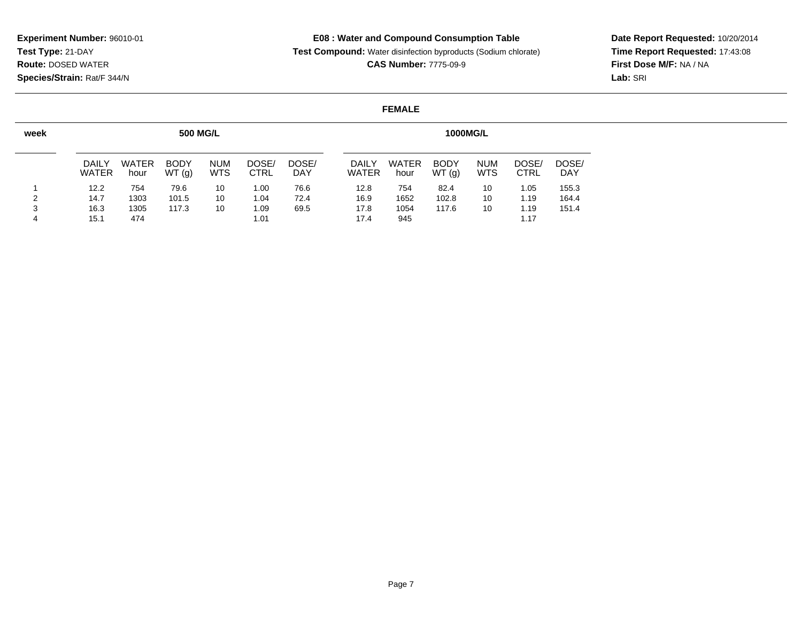# **E08 : Water and Compound Consumption Table**

**Test Compound:** Water disinfection byproducts (Sodium chlorate)

**CAS Number:** 7775-09-9

**Date Report Requested:** 10/20/2014 **Time Report Requested:** 17:43:08**First Dose M/F:** NA / NA**Lab:** SRI

#### **FEMALE**

| week | <b>500 MG/L</b><br><b>1000MG/L</b> |                      |                      |                          |               |                     |  |                              |                      |                      |                          |                      |                     |
|------|------------------------------------|----------------------|----------------------|--------------------------|---------------|---------------------|--|------------------------------|----------------------|----------------------|--------------------------|----------------------|---------------------|
|      | <b>DAILY</b><br><b>WATER</b>       | <b>WATER</b><br>hour | <b>BODY</b><br>WT(g) | <b>NUM</b><br><b>WTS</b> | DOSE/<br>CTRL | DOSE/<br><b>DAY</b> |  | <b>DAILY</b><br><b>WATER</b> | <b>WATER</b><br>hour | <b>BODY</b><br>WT(g) | <b>NUM</b><br><b>WTS</b> | DOSE/<br><b>CTRL</b> | DOSE/<br><b>DAY</b> |
|      | 12.2                               | 754                  | 79.6                 | 10                       | 1.00          | 76.6                |  | 12.8                         | 754                  | 82.4                 | 10                       | 1.05                 | 155.3               |
| 2    | 14.7                               | 1303                 | 101.5                | 10                       | 1.04          | 72.4                |  | 16.9                         | 1652                 | 102.8                | 10                       | 1.19                 | 164.4               |
| 3    | 16.3                               | 1305                 | 117.3                | 10                       | 1.09          | 69.5                |  | 17.8                         | 1054                 | 117.6                | 10                       | 1.19                 | 151.4               |
| 4    | 15.1                               | 474                  |                      |                          | 1.01          |                     |  | 17.4                         | 945                  |                      |                          | 1.17                 |                     |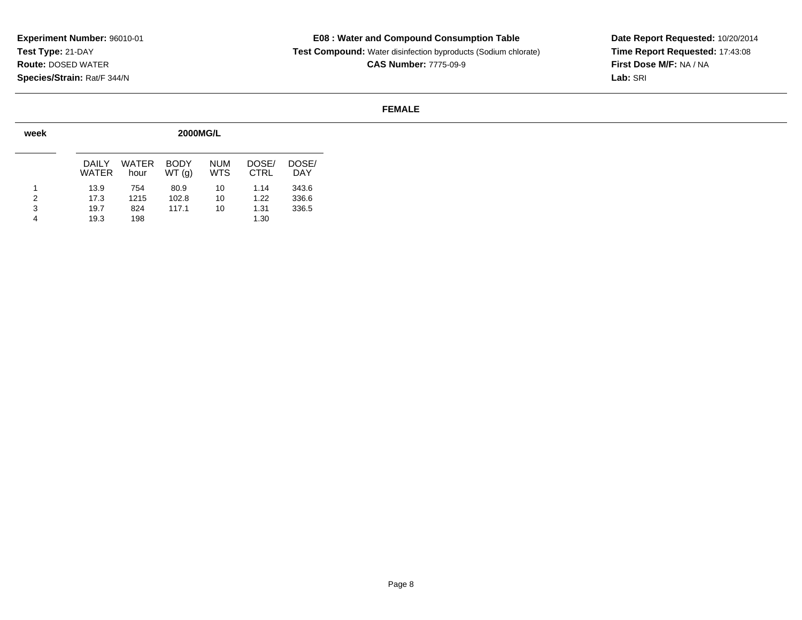## **E08 : Water and Compound Consumption Table**

 **Test Compound:** Water disinfection byproducts (Sodium chlorate)**CAS Number:** 7775-09-9

**Date Report Requested:** 10/20/2014 **Time Report Requested:** 17:43:08**First Dose M/F:** NA / NA**Lab:** SRI

#### **FEMALE**

| week | <b>2000MG/L</b> |               |                      |                          |                      |                     |  |  |  |  |  |  |  |  |
|------|-----------------|---------------|----------------------|--------------------------|----------------------|---------------------|--|--|--|--|--|--|--|--|
|      | DAIL Y<br>WATER | WATER<br>hour | <b>BODY</b><br>WT(g) | <b>NUM</b><br><b>WTS</b> | DOSE/<br><b>CTRL</b> | DOSE/<br><b>DAY</b> |  |  |  |  |  |  |  |  |
| 1    | 13.9            | 754           | 80.9                 | 10                       | 1.14                 | 343.6               |  |  |  |  |  |  |  |  |
| 2    | 17.3            | 1215          | 102.8                | 10                       | 1.22                 | 336.6               |  |  |  |  |  |  |  |  |
| 3    | 19.7            | 824           | 117.1                | 10                       | 1.31                 | 336.5               |  |  |  |  |  |  |  |  |
| 4    | 19.3            | 198           |                      |                          | 1.30                 |                     |  |  |  |  |  |  |  |  |